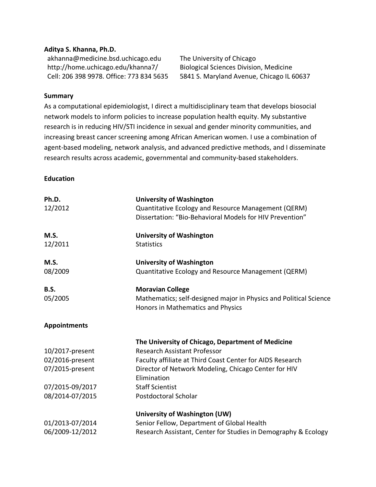#### **Aditya S. Khanna, Ph.D.**

akhanna@medicine.bsd.uchicago.edu The University of Chicago http://home.uchicago.edu/khanna7/ Biological Sciences Division, Medicine

Cell: 206 398 9978. Office: 773 834 5635 5841 S. Maryland Avenue, Chicago IL 60637

#### **Summary**

As a computational epidemiologist, I direct a multidisciplinary team that develops biosocial network models to inform policies to increase population health equity. My substantive research is in reducing HIV/STI incidence in sexual and gender minority communities, and increasing breast cancer screening among African American women. I use a combination of agent-based modeling, network analysis, and advanced predictive methods, and I disseminate research results across academic, governmental and community-based stakeholders.

#### **Education**

| Ph.D.               | <b>University of Washington</b>                                                                                 |
|---------------------|-----------------------------------------------------------------------------------------------------------------|
| 12/2012             | Quantitative Ecology and Resource Management (QERM)<br>Dissertation: "Bio-Behavioral Models for HIV Prevention" |
|                     |                                                                                                                 |
| M.S.                | <b>University of Washington</b>                                                                                 |
| 12/2011             | <b>Statistics</b>                                                                                               |
| M.S.                | <b>University of Washington</b>                                                                                 |
| 08/2009             | Quantitative Ecology and Resource Management (QERM)                                                             |
| B.S.                | <b>Moravian College</b>                                                                                         |
| 05/2005             | Mathematics; self-designed major in Physics and Political Science<br>Honors in Mathematics and Physics          |
| <b>Appointments</b> |                                                                                                                 |
|                     | The University of Chicago, Department of Medicine                                                               |
| 10/2017-present     | <b>Research Assistant Professor</b>                                                                             |
| 02/2016-present     | Faculty affiliate at Third Coast Center for AIDS Research                                                       |
| 07/2015-present     | Director of Network Modeling, Chicago Center for HIV                                                            |
|                     | Elimination                                                                                                     |
| 07/2015-09/2017     | <b>Staff Scientist</b>                                                                                          |
| 08/2014-07/2015     | Postdoctoral Scholar                                                                                            |
|                     | University of Washington (UW)                                                                                   |
| 01/2013-07/2014     | Senior Fellow, Department of Global Health                                                                      |
| 06/2009-12/2012     | Research Assistant, Center for Studies in Demography & Ecology                                                  |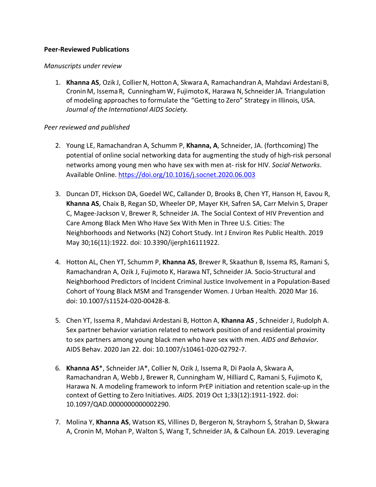#### **Peer-Reviewed Publications**

#### *Manuscripts under review*

1. **Khanna AS**, Ozik J, CollierN, HottonA, SkwaraA, Ramachandran A, Mahdavi Ardestani B, CroninM, Issema R, CunninghamW, Fujimoto K, Harawa N, SchneiderJA. Triangulation of modeling approaches to formulate the "Getting to Zero" Strategy in Illinois, USA. *Journal of the International AIDS Society.*

#### *Peer reviewed and published*

- 2. Young LE, Ramachandran A, Schumm P, **Khanna, A**, Schneider, JA. (forthcoming) The potential of online social networking data for augmenting the study of high-risk personal networks among young men who have sex with men at- risk for HIV. *Social Networks*. Available Online. https://doi.org/10.1016/j.socnet.2020.06.003
- 3. Duncan DT, Hickson DA, Goedel WC, Callander D, Brooks B, Chen YT, Hanson H, Eavou R, **Khanna AS**, Chaix B, Regan SD, Wheeler DP, Mayer KH, Safren SA, Carr Melvin S, Draper C, Magee-Jackson V, Brewer R, Schneider JA. The Social Context of HIV Prevention and Care Among Black Men Who Have Sex With Men in Three U.S. Cities: The Neighborhoods and Networks (N2) Cohort Study. Int J Environ Res Public Health. 2019 May 30;16(11):1922. doi: 10.3390/ijerph16111922.
- 4. Hotton AL, Chen YT, Schumm P, **Khanna AS**, Brewer R, Skaathun B, Issema RS, Ramani S, Ramachandran A, Ozik J, Fujimoto K, Harawa NT, Schneider JA. Socio-Structural and Neighborhood Predictors of Incident Criminal Justice Involvement in a Population-Based Cohort of Young Black MSM and Transgender Women. J Urban Health. 2020 Mar 16. doi: 10.1007/s11524-020-00428-8.
- 5. Chen YT, Issema R , Mahdavi Ardestani B, Hotton A, **Khanna AS** , Schneider J, Rudolph A. Sex partner behavior variation related to network position of and residential proximity to sex partners among young black men who have sex with men. *AIDS and Behavior*. AIDS Behav. 2020 Jan 22. doi: 10.1007/s10461-020-02792-7.
- 6. **Khanna AS**\*, Schneider JA\*, Collier N, Ozik J, Issema R, Di Paola A, Skwara A, Ramachandran A, Webb J, Brewer R, Cunningham W, Hilliard C, Ramani S, Fujimoto K, Harawa N. A modeling framework to inform PrEP initiation and retention scale-up in the context of Getting to Zero Initiatives. *AIDS*. 2019 Oct 1;33(12):1911-1922. doi: 10.1097/QAD.0000000000002290.
- 7. Molina Y, **Khanna AS**, Watson KS, Villines D, Bergeron N, Strayhorn S, Strahan D, Skwara A, Cronin M, Mohan P, Walton S, Wang T, Schneider JA, & Calhoun EA. 2019. Leveraging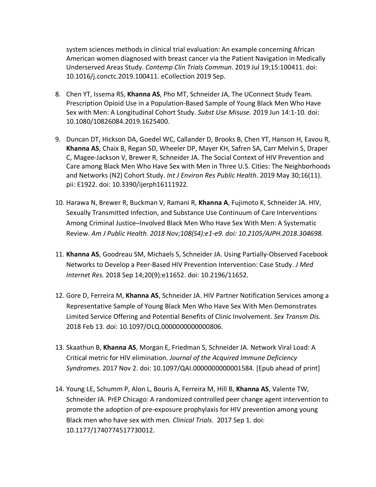system sciences methods in clinical trial evaluation: An example concerning African American women diagnosed with breast cancer via the Patient Navigation in Medically Underserved Areas Study. *Contemp Clin Trials Commun*. 2019 Jul 19;15:100411. doi: 10.1016/j.conctc.2019.100411. eCollection 2019 Sep.

- 8. Chen YT, Issema RS, **Khanna AS**, Pho MT, Schneider JA, The UConnect Study Team. Prescription Opioid Use in a Population-Based Sample of Young Black Men Who Have Sex with Men: A Longitudinal Cohort Study. *Subst Use Misuse*. 2019 Jun 14:1-10. doi: 10.1080/10826084.2019.1625400.
- 9. Duncan DT, Hickson DA, Goedel WC, Callander D, Brooks B, Chen YT, Hanson H, Eavou R, **Khanna AS**, Chaix B, Regan SD, Wheeler DP, Mayer KH, Safren SA, Carr Melvin S, Draper C, Magee-Jackson V, Brewer R, Schneider JA. The Social Context of HIV Prevention and Care among Black Men Who Have Sex with Men in Three U.S. Cities: The Neighborhoods and Networks (N2) Cohort Study. *Int J Environ Res Public Health*. 2019 May 30;16(11). pii: E1922. doi: 10.3390/ijerph16111922.
- 10. Harawa N, Brewer R, Buckman V, Ramani R, **Khanna A**, Fujimoto K, Schneider JA. HIV, Sexually Transmitted Infection, and Substance Use Continuum of Care Interventions Among Criminal Justice–Involved Black Men Who Have Sex With Men: A Systematic Review. *Am J Public Health. 2018 Nov;108(S4):e1-e9. doi: 10.2105/AJPH.2018.304698.*
- 11. **Khanna AS**, Goodreau SM, Michaels S, Schneider JA. Using Partially-Observed Facebook Networks to Develop a Peer-Based HIV Prevention Intervention: Case Study. *J Med Internet Res.* 2018 Sep 14;20(9):e11652. doi: 10.2196/11652.
- 12. Gore D, Ferreira M, **Khanna AS**, Schneider JA. HIV Partner Notification Services among a Representative Sample of Young Black Men Who Have Sex With Men Demonstrates Limited Service Offering and Potential Benefits of Clinic Involvement. *Sex Transm Dis*. 2018 Feb 13. doi: 10.1097/OLQ.0000000000000806.
- 13. Skaathun B, **Khanna AS**, Morgan E, Friedman S, Schneider JA. Network Viral Load: A Critical metric for HIV elimination. *Journal of the Acquired Immune Deficiency Syndromes*. 2017 Nov 2. doi: 10.1097/QAI.0000000000001584. [Epub ahead of print]
- 14. Young LE, Schumm P, Alon L, Bouris A, Ferreira M, Hill B, **Khanna AS**, Valente TW, Schneider JA. PrEP Chicago: A randomized controlled peer change agent intervention to promote the adoption of pre-exposure prophylaxis for HIV prevention among young Black men who have sex with men*. Clinical Trials*. 2017 Sep 1. doi: 10.1177/1740774517730012.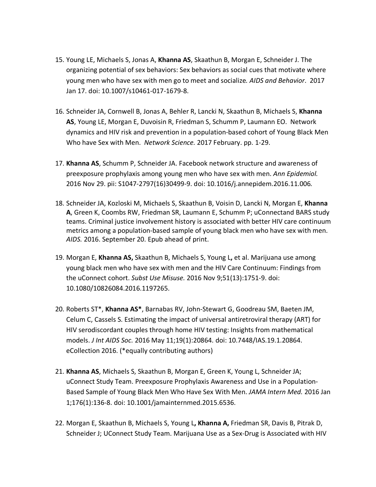- 15. Young LE, Michaels S, Jonas A, **Khanna AS**, Skaathun B, Morgan E, Schneider J. The organizing potential of sex behaviors: Sex behaviors as social cues that motivate where young men who have sex with men go to meet and socialize*. AIDS and Behavior*. 2017 Jan 17. doi: 10.1007/s10461-017-1679-8.
- 16. Schneider JA, Cornwell B, Jonas A, Behler R, Lancki N, Skaathun B, Michaels S, **Khanna AS**, Young LE, Morgan E, Duvoisin R, Friedman S, Schumm P, Laumann EO. Network dynamics and HIV risk and prevention in a population-based cohort of Young Black Men Who have Sex with Men. *Network Science.* 2017 February. pp. 1-29.
- 17. **Khanna AS**, Schumm P, Schneider JA. Facebook network structure and awareness of preexposure prophylaxis among young men who have sex with men. *Ann Epidemiol.*  2016 Nov 29. pii: S1047-2797(16)30499-9. doi: 10.1016/j.annepidem.2016.11.006*.*
- 18. Schneider JA, Kozloski M, Michaels S, Skaathun B, Voisin D, Lancki N, Morgan E, **Khanna A**, Green K, Coombs RW, Friedman SR, Laumann E, Schumm P; uConnectand BARS study teams. Criminal justice involvement history is associated with better HIV care continuum metrics among a population-based sample of young black men who have sex with men. *AIDS.* 2016. September 20. Epub ahead of print.
- 19. Morgan E, **Khanna AS,** Skaathun B, Michaels S, Young L**,** et al. Marijuana use among young black men who have sex with men and the HIV Care Continuum: Findings from the uConnect cohort. *Subst Use Misuse.* 2016 Nov 9;51(13):1751-9. doi: 10.1080/10826084.2016.1197265.
- 20. Roberts ST\*, **Khanna AS\***, Barnabas RV, John-Stewart G, Goodreau SM, Baeten JM, Celum C, Cassels S. Estimating the impact of universal antiretroviral therapy (ART) for HIV serodiscordant couples through home HIV testing: Insights from mathematical models. *J Int AIDS Soc.* 2016 May 11;19(1):20864. doi: 10.7448/IAS.19.1.20864. eCollection 2016. (\*equally contributing authors)
- 21. **Khanna AS**, Michaels S, Skaathun B, Morgan E, Green K, Young L, Schneider JA; uConnect Study Team. Preexposure Prophylaxis Awareness and Use in a Population-Based Sample of Young Black Men Who Have Sex With Men. *JAMA Intern Med.* 2016 Jan 1;176(1):136-8. doi: 10.1001/jamainternmed.2015.6536.
- 22. Morgan E, Skaathun B, Michaels S, Young L**, Khanna A,** Friedman SR, Davis B, Pitrak D, Schneider J; UConnect Study Team. Marijuana Use as a Sex-Drug is Associated with HIV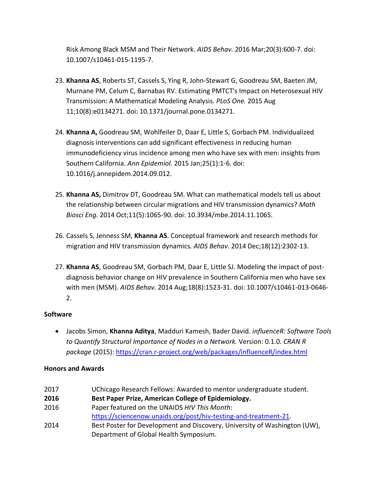Risk Among Black MSM and Their Network. *AIDS Behav.* 2016 Mar;20(3):600-7. doi: 10.1007/s10461-015-1195-7.

- 23. **Khanna AS**, Roberts ST, Cassels S, Ying R, John-Stewart G, Goodreau SM, Baeten JM, Murnane PM, Celum C, Barnabas RV. Estimating PMTCT's Impact on Heterosexual HIV Transmission: A Mathematical Modeling Analysis. *PLoS One.* 2015 Aug 11;10(8):e0134271. doi: 10.1371/journal.pone.0134271.
- 24. **Khanna A,** Goodreau SM, Wohlfeiler D, Daar E, Little S, Gorbach PM. Individualized diagnosis interventions can add significant effectiveness in reducing human immunodeficiency virus incidence among men who have sex with men: insights from Southern California. *Ann Epidemiol.* 2015 Jan;25(1):1-6. doi: 10.1016/j.annepidem.2014.09.012.
- 25. **Khanna AS,** Dimitrov DT, Goodreau SM. What can mathematical models tell us about the relationship between circular migrations and HIV transmission dynamics? *Math Biosci Eng.* 2014 Oct;11(5):1065-90. doi: 10.3934/mbe.2014.11.1065.
- 26. Cassels S, Jenness SM, **Khanna AS**. Conceptual framework and research methods for migration and HIV transmission dynamics*. AIDS Behav.* 2014 Dec;18(12):2302-13.
- 27. **Khanna AS**, Goodreau SM, Gorbach PM, Daar E, Little SJ. Modeling the impact of postdiagnosis behavior change on HIV prevalence in Southern California men who have sex with men (MSM). *AIDS Behav.* 2014 Aug;18(8):1523-31. doi: 10.1007/s10461-013-0646- 2.

## **Software**

• Jacobs Simon, **Khanna Aditya**, Madduri Kamesh, Bader David*. influenceR: Software Tools to Quantify Structural Importance of Nodes in a Network.* Version: 0.1.0. *CRAN R package* (2015): https://cran.r-project.org/web/packages/influenceR/index.html

## **Honors and Awards**

2017 UChicago Research Fellows: Awarded to mentor undergraduate student.

**2016 Best Paper Prize, American College of Epidemiology.**

- 2016 Paper featured on the UNAIDS *HIV This Month*: https://sciencenow.unaids.org/post/hiv-testing-and-treatment-21.
- 2014 Best Poster for Development and Discovery, University of Washington (UW), Department of Global Health Symposium.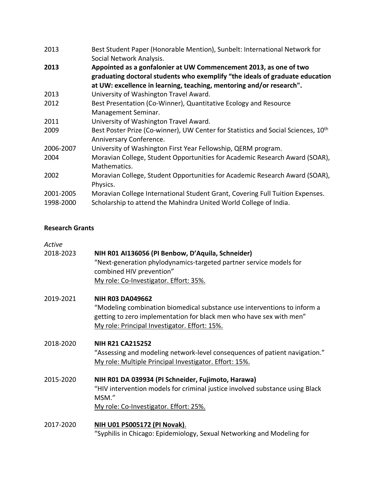| 2013      | Best Student Paper (Honorable Mention), Sunbelt: International Network for                                                                        |
|-----------|---------------------------------------------------------------------------------------------------------------------------------------------------|
|           | Social Network Analysis.                                                                                                                          |
| 2013      | Appointed as a gonfalonier at UW Commencement 2013, as one of two<br>graduating doctoral students who exemplify "the ideals of graduate education |
|           | at UW: excellence in learning, teaching, mentoring and/or research".                                                                              |
| 2013      | University of Washington Travel Award.                                                                                                            |
| 2012      | Best Presentation (Co-Winner), Quantitative Ecology and Resource                                                                                  |
|           | Management Seminar.                                                                                                                               |
| 2011      | University of Washington Travel Award.                                                                                                            |
| 2009      | Best Poster Prize (Co-winner), UW Center for Statistics and Social Sciences, 10 <sup>th</sup><br>Anniversary Conference.                          |
| 2006-2007 | University of Washington First Year Fellowship, QERM program.                                                                                     |
| 2004      | Moravian College, Student Opportunities for Academic Research Award (SOAR),<br>Mathematics.                                                       |
| 2002      | Moravian College, Student Opportunities for Academic Research Award (SOAR),                                                                       |
|           | Physics.                                                                                                                                          |
| 2001-2005 | Moravian College International Student Grant, Covering Full Tuition Expenses.                                                                     |
| 1998-2000 | Scholarship to attend the Mahindra United World College of India.                                                                                 |

## **Research Grants**

| Active    |                                                                                                                                                                                                                             |
|-----------|-----------------------------------------------------------------------------------------------------------------------------------------------------------------------------------------------------------------------------|
| 2018-2023 | NIH R01 AI136056 (PI Benbow, D'Aquila, Schneider)<br>"Next-generation phylodynamics-targeted partner service models for<br>combined HIV prevention"<br>My role: Co-Investigator. Effort: 35%.                               |
| 2019-2021 | <b>NIH R03 DA049662</b><br>"Modeling combination biomedical substance use interventions to inform a<br>getting to zero implementation for black men who have sex with men"<br>My role: Principal Investigator. Effort: 15%. |
| 2018-2020 | <b>NIH R21 CA215252</b><br>"Assessing and modeling network-level consequences of patient navigation."<br>My role: Multiple Principal Investigator. Effort: 15%.                                                             |
| 2015-2020 | NIH R01 DA 039934 (PI Schneider, Fujimoto, Harawa)<br>"HIV intervention models for criminal justice involved substance using Black<br>MSM."                                                                                 |

2017-2020 **NIH U01 PS005172 (PI Novak)**. "Syphilis in Chicago: Epidemiology, Sexual Networking and Modeling for

My role: Co-Investigator. Effort: 25%.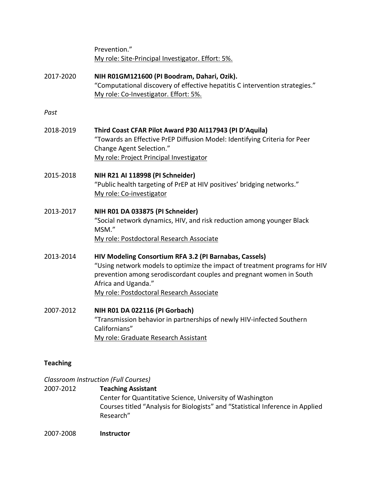|           | Prevention."<br>My role: Site-Principal Investigator. Effort: 5%.                                                                                                                                                                                                              |
|-----------|--------------------------------------------------------------------------------------------------------------------------------------------------------------------------------------------------------------------------------------------------------------------------------|
| 2017-2020 | NIH R01GM121600 (PI Boodram, Dahari, Ozik).<br>"Computational discovery of effective hepatitis C intervention strategies."<br>My role: Co-Investigator. Effort: 5%.                                                                                                            |
| Past      |                                                                                                                                                                                                                                                                                |
| 2018-2019 | Third Coast CFAR Pilot Award P30 AI117943 (PI D'Aquila)<br>"Towards an Effective PrEP Diffusion Model: Identifying Criteria for Peer<br>Change Agent Selection."<br>My role: Project Principal Investigator                                                                    |
| 2015-2018 | NIH R21 AI 118998 (PI Schneider)<br>"Public health targeting of PrEP at HIV positives' bridging networks."<br>My role: Co-investigator                                                                                                                                         |
| 2013-2017 | NIH R01 DA 033875 (PI Schneider)<br>"Social network dynamics, HIV, and risk reduction among younger Black<br>MSM."<br>My role: Postdoctoral Research Associate                                                                                                                 |
| 2013-2014 | HIV Modeling Consortium RFA 3.2 (PI Barnabas, Cassels)<br>"Using network models to optimize the impact of treatment programs for HIV<br>prevention among serodiscordant couples and pregnant women in South<br>Africa and Uganda."<br>My role: Postdoctoral Research Associate |
| 2007-2012 | NIH R01 DA 022116 (PI Gorbach)<br>"Transmission behavior in partnerships of newly HIV-infected Southern<br>Californians"<br>My role: Graduate Research Assistant                                                                                                               |

# **Teaching**

# *Classroom Instruction (Full Courses)*

# 2007-2012 **Teaching Assistant** Center for Quantitative Science, University of Washington

Courses titled "Analysis for Biologists" and "Statistical Inference in Applied Research"

2007-2008 **Instructor**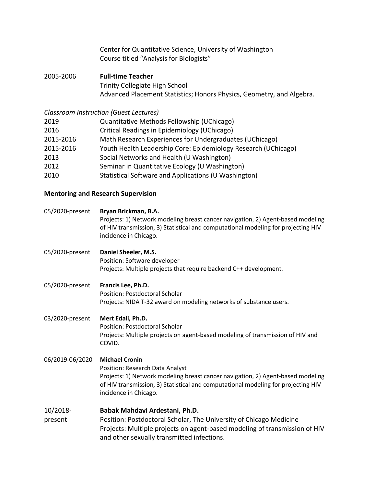|                                           | Center for Quantitative Science, University of Washington<br>Course titled "Analysis for Biologists" |
|-------------------------------------------|------------------------------------------------------------------------------------------------------|
| 2005-2006                                 | <b>Full-time Teacher</b>                                                                             |
|                                           | <b>Trinity Collegiate High School</b>                                                                |
|                                           | Advanced Placement Statistics; Honors Physics, Geometry, and Algebra.                                |
|                                           | Classroom Instruction (Guest Lectures)                                                               |
| 2019                                      | Quantitative Methods Fellowship (UChicago)                                                           |
| 2016                                      | Critical Readings in Epidemiology (UChicago)                                                         |
| 2015-2016                                 | Math Research Experiences for Undergraduates (UChicago)                                              |
| 2015-2016                                 | Youth Health Leadership Core: Epidemiology Research (UChicago)                                       |
| 2013                                      | Social Networks and Health (U Washington)                                                            |
| 2012                                      | Seminar in Quantitative Ecology (U Washington)                                                       |
| 2010                                      | Statistical Software and Applications (U Washington)                                                 |
| <b>Mentoring and Research Supervision</b> |                                                                                                      |
| 05/2020-present                           | Bryan Brickman, B.A.                                                                                 |

|                     | Projects: 1) Network modeling breast cancer navigation, 2) Agent-based modeling<br>of HIV transmission, 3) Statistical and computational modeling for projecting HIV<br>incidence in Chicago.                                                             |
|---------------------|-----------------------------------------------------------------------------------------------------------------------------------------------------------------------------------------------------------------------------------------------------------|
| 05/2020-present     | Daniel Sheeler, M.S.<br>Position: Software developer<br>Projects: Multiple projects that require backend C++ development.                                                                                                                                 |
| 05/2020-present     | Francis Lee, Ph.D.<br><b>Position: Postdoctoral Scholar</b><br>Projects: NIDA T-32 award on modeling networks of substance users.                                                                                                                         |
| 03/2020-present     | Mert Edali, Ph.D.<br><b>Position: Postdoctoral Scholar</b><br>Projects: Multiple projects on agent-based modeling of transmission of HIV and<br>COVID.                                                                                                    |
| 06/2019-06/2020     | <b>Michael Cronin</b><br>Position: Research Data Analyst<br>Projects: 1) Network modeling breast cancer navigation, 2) Agent-based modeling<br>of HIV transmission, 3) Statistical and computational modeling for projecting HIV<br>incidence in Chicago. |
| 10/2018-<br>present | Babak Mahdavi Ardestani, Ph.D.<br>Position: Postdoctoral Scholar, The University of Chicago Medicine<br>Projects: Multiple projects on agent-based modeling of transmission of HIV<br>and other sexually transmitted infections.                          |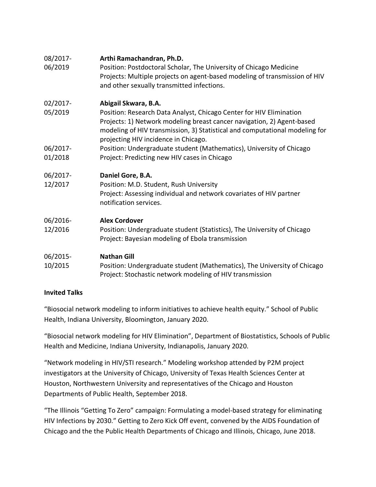| 08/2017-<br>06/2019 | Arthi Ramachandran, Ph.D.<br>Position: Postdoctoral Scholar, The University of Chicago Medicine<br>Projects: Multiple projects on agent-based modeling of transmission of HIV<br>and other sexually transmitted infections.                                          |
|---------------------|----------------------------------------------------------------------------------------------------------------------------------------------------------------------------------------------------------------------------------------------------------------------|
| 02/2017-            | Abigail Skwara, B.A.                                                                                                                                                                                                                                                 |
| 05/2019             | Position: Research Data Analyst, Chicago Center for HIV Elimination<br>Projects: 1) Network modeling breast cancer navigation, 2) Agent-based<br>modeling of HIV transmission, 3) Statistical and computational modeling for<br>projecting HIV incidence in Chicago. |
| 06/2017-            | Position: Undergraduate student (Mathematics), University of Chicago                                                                                                                                                                                                 |
| 01/2018             | Project: Predicting new HIV cases in Chicago                                                                                                                                                                                                                         |
| 06/2017-            | Daniel Gore, B.A.                                                                                                                                                                                                                                                    |
| 12/2017             | Position: M.D. Student, Rush University<br>Project: Assessing individual and network covariates of HIV partner<br>notification services.                                                                                                                             |
| 06/2016-            | <b>Alex Cordover</b>                                                                                                                                                                                                                                                 |
| 12/2016             | Position: Undergraduate student (Statistics), The University of Chicago<br>Project: Bayesian modeling of Ebola transmission                                                                                                                                          |
| 06/2015-<br>10/2015 | <b>Nathan Gill</b><br>Position: Undergraduate student (Mathematics), The University of Chicago<br>Project: Stochastic network modeling of HIV transmission                                                                                                           |

## **Invited Talks**

"Biosocial network modeling to inform initiatives to achieve health equity." School of Public Health, Indiana University, Bloomington, January 2020.

"Biosocial network modeling for HIV Elimination", Department of Biostatistics, Schools of Public Health and Medicine, Indiana University, Indianapolis, January 2020.

"Network modeling in HIV/STI research." Modeling workshop attended by P2M project investigators at the University of Chicago, University of Texas Health Sciences Center at Houston, Northwestern University and representatives of the Chicago and Houston Departments of Public Health, September 2018.

"The Illinois "Getting To Zero" campaign: Formulating a model-based strategy for eliminating HIV Infections by 2030." Getting to Zero Kick Off event, convened by the AIDS Foundation of Chicago and the the Public Health Departments of Chicago and Illinois, Chicago, June 2018.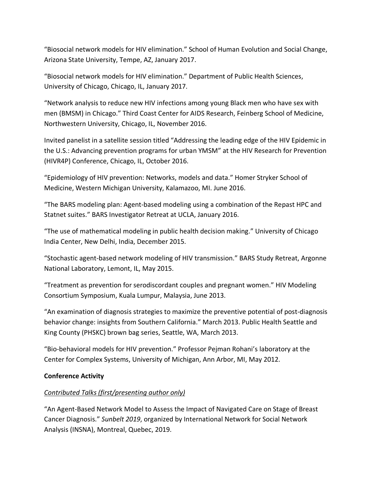"Biosocial network models for HIV elimination." School of Human Evolution and Social Change, Arizona State University, Tempe, AZ, January 2017.

"Biosocial network models for HIV elimination." Department of Public Health Sciences, University of Chicago, Chicago, IL, January 2017.

"Network analysis to reduce new HIV infections among young Black men who have sex with men (BMSM) in Chicago." Third Coast Center for AIDS Research, Feinberg School of Medicine, Northwestern University, Chicago, IL, November 2016.

Invited panelist in a satellite session titled "Addressing the leading edge of the HIV Epidemic in the U.S.: Advancing prevention programs for urban YMSM" at the HIV Research for Prevention (HIVR4P) Conference, Chicago, IL, October 2016.

"Epidemiology of HIV prevention: Networks, models and data." Homer Stryker School of Medicine, Western Michigan University, Kalamazoo, MI. June 2016.

"The BARS modeling plan: Agent-based modeling using a combination of the Repast HPC and Statnet suites." BARS Investigator Retreat at UCLA, January 2016.

"The use of mathematical modeling in public health decision making." University of Chicago India Center, New Delhi, India, December 2015.

"Stochastic agent-based network modeling of HIV transmission." BARS Study Retreat, Argonne National Laboratory, Lemont, IL, May 2015.

"Treatment as prevention for serodiscordant couples and pregnant women." HIV Modeling Consortium Symposium, Kuala Lumpur, Malaysia, June 2013.

"An examination of diagnosis strategies to maximize the preventive potential of post-diagnosis behavior change: insights from Southern California." March 2013. Public Health Seattle and King County (PHSKC) brown bag series, Seattle, WA, March 2013.

"Bio-behavioral models for HIV prevention." Professor Pejman Rohani's laboratory at the Center for Complex Systems, University of Michigan, Ann Arbor, MI, May 2012.

## **Conference Activity**

# *Contributed Talks (first/presenting author only)*

"An Agent-Based Network Model to Assess the Impact of Navigated Care on Stage of Breast Cancer Diagnosis." *Sunbelt 2019*, organized by International Network for Social Network Analysis (INSNA), Montreal, Quebec, 2019.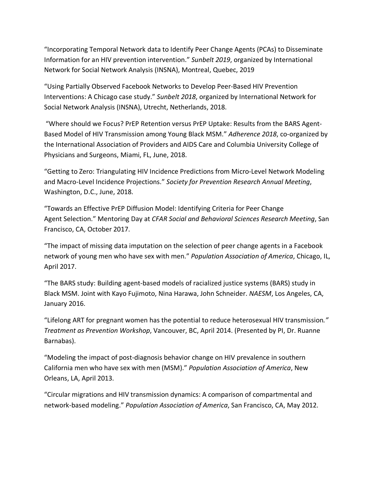"Incorporating Temporal Network data to Identify Peer Change Agents (PCAs) to Disseminate Information for an HIV prevention intervention." *Sunbelt 2019*, organized by International Network for Social Network Analysis (INSNA), Montreal, Quebec, 2019

"Using Partially Observed Facebook Networks to Develop Peer-Based HIV Prevention Interventions: A Chicago case study." *Sunbelt 2018*, organized by International Network for Social Network Analysis (INSNA), Utrecht, Netherlands, 2018.

"Where should we Focus? PrEP Retention versus PrEP Uptake: Results from the BARS Agent-Based Model of HIV Transmission among Young Black MSM." *Adherence 2018*, co-organized by the International Association of Providers and AIDS Care and Columbia University College of Physicians and Surgeons, Miami, FL, June, 2018.

"Getting to Zero: Triangulating HIV Incidence Predictions from Micro-Level Network Modeling and Macro-Level Incidence Projections." *Society for Prevention Research Annual Meeting*, Washington, D.C., June, 2018.

"Towards an Effective PrEP Diffusion Model: Identifying Criteria for Peer Change Agent Selection." Mentoring Day at *CFAR Social and Behavioral Sciences Research Meeting*, San Francisco, CA, October 2017.

"The impact of missing data imputation on the selection of peer change agents in a Facebook network of young men who have sex with men." *Population Association of America*, Chicago, IL, April 2017.

"The BARS study: Building agent-based models of racialized justice systems (BARS) study in Black MSM. Joint with Kayo Fujimoto, Nina Harawa, John Schneider. *NAESM*, Los Angeles, CA, January 2016.

"Lifelong ART for pregnant women has the potential to reduce heterosexual HIV transmission*." Treatment as Prevention Workshop*, Vancouver, BC, April 2014. (Presented by PI, Dr. Ruanne Barnabas).

"Modeling the impact of post-diagnosis behavior change on HIV prevalence in southern California men who have sex with men (MSM)." *Population Association of America*, New Orleans, LA, April 2013.

"Circular migrations and HIV transmission dynamics: A comparison of compartmental and network-based modeling." *Population Association of America*, San Francisco, CA, May 2012.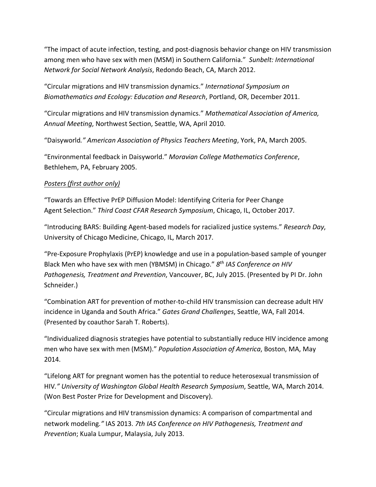"The impact of acute infection, testing, and post-diagnosis behavior change on HIV transmission among men who have sex with men (MSM) in Southern California." *Sunbelt: International Network for Social Network Analysis*, Redondo Beach, CA, March 2012.

"Circular migrations and HIV transmission dynamics." *International Symposium on Biomathematics and Ecology: Education and Research*, Portland, OR, December 2011.

"Circular migrations and HIV transmission dynamics." *Mathematical Association of America, Annual Meeting*, Northwest Section, Seattle, WA, April 2010.

"Daisyworld*." American Association of Physics Teachers Meeting*, York, PA, March 2005.

"Environmental feedback in Daisyworld." *Moravian College Mathematics Conference*, Bethlehem, PA, February 2005.

## *Posters (first author only)*

"Towards an Effective PrEP Diffusion Model: Identifying Criteria for Peer Change Agent Selection." *Third Coast CFAR Research Symposium*, Chicago, IL, October 2017.

"Introducing BARS: Building Agent-based models for racialized justice systems." *Research Day*, University of Chicago Medicine, Chicago, IL, March 2017.

"Pre-Exposure Prophylaxis (PrEP) knowledge and use in a population-based sample of younger Black Men who have sex with men (YBMSM) in Chicago." *8th IAS Conference on HIV Pathogenesis, Treatment and Prevention*, Vancouver, BC, July 2015. (Presented by PI Dr. John Schneider.)

"Combination ART for prevention of mother-to-child HIV transmission can decrease adult HIV incidence in Uganda and South Africa." *Gates Grand Challenges*, Seattle, WA, Fall 2014. (Presented by coauthor Sarah T. Roberts).

"Individualized diagnosis strategies have potential to substantially reduce HIV incidence among men who have sex with men (MSM)." *Population Association of America*, Boston, MA, May 2014.

"Lifelong ART for pregnant women has the potential to reduce heterosexual transmission of HIV*." University of Washington Global Health Research Symposium*, Seattle, WA, March 2014. (Won Best Poster Prize for Development and Discovery).

"Circular migrations and HIV transmission dynamics: A comparison of compartmental and network modeling*."* IAS 2013. *7th IAS Conference on HIV Pathogenesis, Treatment and Prevention*; Kuala Lumpur, Malaysia, July 2013.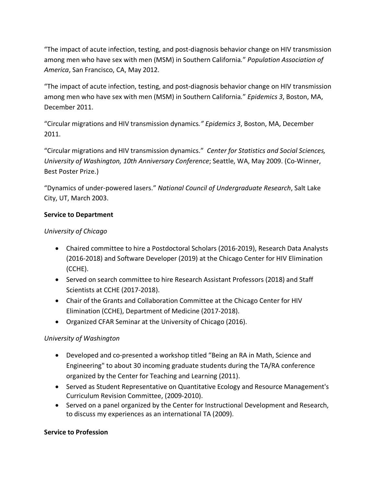"The impact of acute infection, testing, and post-diagnosis behavior change on HIV transmission among men who have sex with men (MSM) in Southern California*.*" *Population Association of America*, San Francisco, CA, May 2012.

"The impact of acute infection, testing, and post-diagnosis behavior change on HIV transmission among men who have sex with men (MSM) in Southern California*.*" *Epidemics 3*, Boston, MA, December 2011.

"Circular migrations and HIV transmission dynamics*." Epidemics 3*, Boston, MA, December 2011.

"Circular migrations and HIV transmission dynamics." *Center for Statistics and Social Sciences, University of Washington, 10th Anniversary Conference*; Seattle, WA, May 2009. (Co-Winner, Best Poster Prize.)

"Dynamics of under-powered lasers." *National Council of Undergraduate Research*, Salt Lake City, UT, March 2003.

## **Service to Department**

## *University of Chicago*

- Chaired committee to hire a Postdoctoral Scholars (2016-2019), Research Data Analysts (2016-2018) and Software Developer (2019) at the Chicago Center for HIV Elimination (CCHE).
- Served on search committee to hire Research Assistant Professors (2018) and Staff Scientists at CCHE (2017-2018).
- Chair of the Grants and Collaboration Committee at the Chicago Center for HIV Elimination (CCHE), Department of Medicine (2017-2018).
- Organized CFAR Seminar at the University of Chicago (2016).

## *University of Washington*

- Developed and co-presented a workshop titled "Being an RA in Math, Science and Engineering" to about 30 incoming graduate students during the TA/RA conference organized by the Center for Teaching and Learning (2011).
- Served as Student Representative on Quantitative Ecology and Resource Management's Curriculum Revision Committee, (2009-2010).
- Served on a panel organized by the Center for Instructional Development and Research, to discuss my experiences as an international TA (2009).

## **Service to Profession**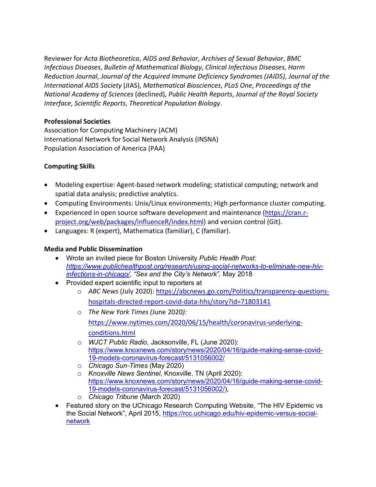Reviewer for *Acta Biotheoretica*, *AIDS and Behavior*, *Archives of Sexual Behavior*, *BMC Infectious Diseases*, *Bulletin of Mathematical Biology*, *Clinical Infectious Diseases*, *Harm Reduction Journal*, *Journal of the Acquired Immune Deficiency Syndromes (JAIDS)*, *Journal of the International AIDS Society* (JIAS), *Mathematical Biosciences*, *PLoS One*, *Proceedings of the National Academy of Sciences* (declined), *Public Health Reports*, *Journal of the Royal Society Interface*, *Scientific Reports*, *Theoretical Population Biology*.

## **Professional Societies**

Association for Computing Machinery (ACM) International Network for Social Network Analysis (INSNA) Population Association of America (PAA)

# **Computing Skills**

- Modeling expertise: Agent-based network modeling; statistical computing; network and spatial data analysis; predictive analytics.
- Computing Environments: Unix/Linux environments; High performance cluster computing.
- Experienced in open source software development and maintenance (https://cran.rproject.org/web/packages/influenceR/index.html) and version control (Git).
- Languages: R (expert), Mathematica (familiar), C (familiar).

# **Media and Public Dissemination**

- Wrote an invited piece for Boston University *Public Health Post: https://www.publichealthpost.org/research/using-social-networks-to-eliminate-new-hivinfections-in-chicago/, "Sex and the City's Network",* May 2018
- Provided expert scientific input to reporters at
	- o *ABC News* (July 2020)*:* https://abcnews.go.com/Politics/transparency-questionshospitals-directed-report-covid-data-hhs/story?id=71803141
	- o *The New York Times (*June 2020*):* https://www.nytimes.com/2020/06/15/health/coronavirus-underlyingconditions.html
	- o *WJCT Public Radio*, Jacksonville, FL (June 2020): https://www.knoxnews.com/story/news/2020/04/16/guide-making-sense-covid-19-models-coronavirus-forecast/5131056002/
	- o *Chicago Sun-Times* (May 2020)
	- o *Knoxville News Sentinel*, Knoxville, TN (April 2020): https://www.knoxnews.com/story/news/2020/04/16/guide-making-sense-covid-19-models-coronavirus-forecast/5131056002/),
	- o *Chicago Tribune* (March 2020)
- Featured story on the UChicago Research Computing Website, "The HIV Epidemic vs the Social Network", April 2015, https://rcc.uchicago.edu/hiv-epidemic-versus-socialnetwork